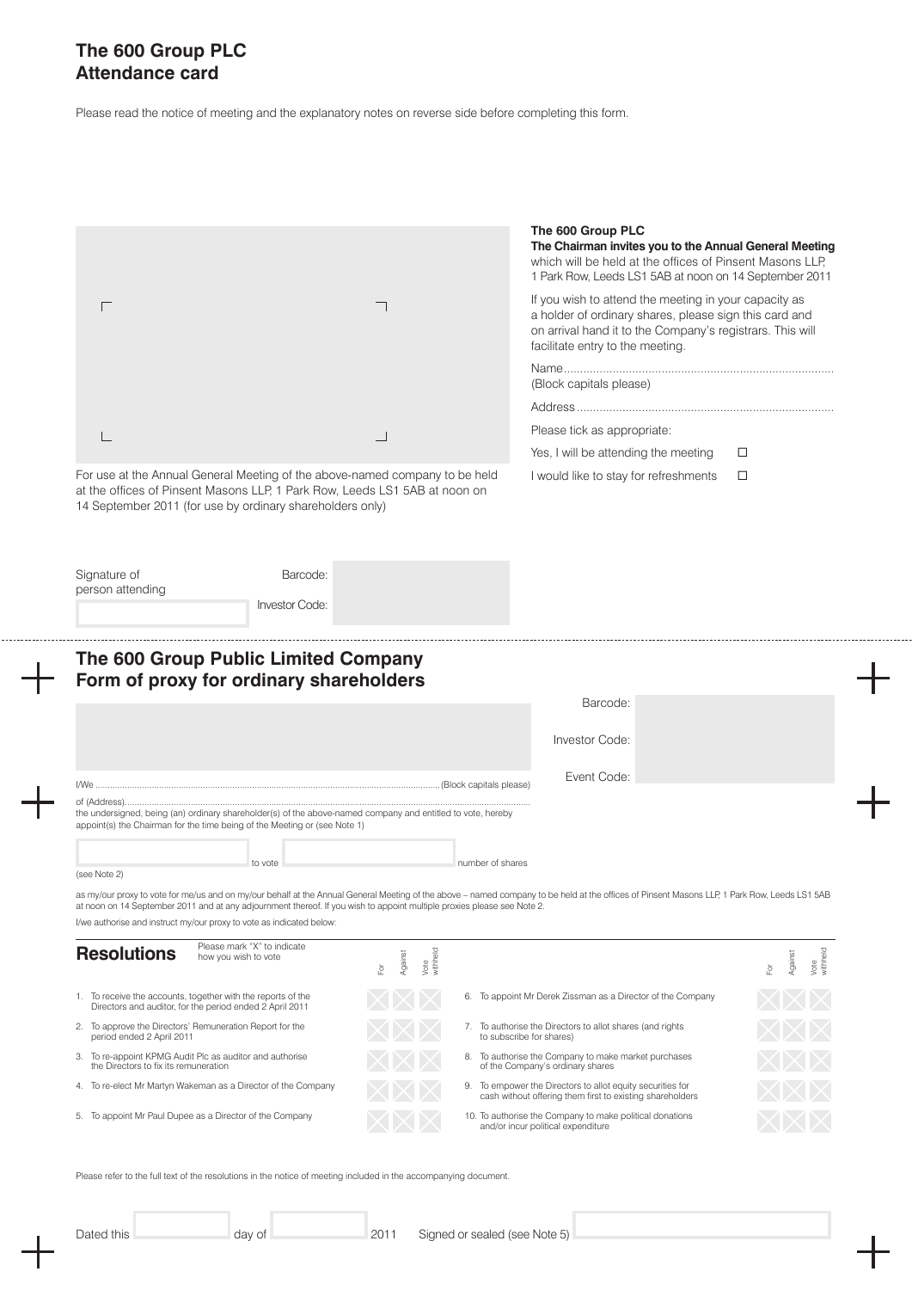## **The 600 Group PLC Attendance card**

Please read the notice of meeting and the explanatory notes on reverse side before completing this form.

|                                                                                                                                                                                                                                                                                                                                                                                                                              |                                   | The 600 Group PLC<br>The Chairman invites you to the Annual General Meeting<br>which will be held at the offices of Pinsent Masons LLP,                                                                          |
|------------------------------------------------------------------------------------------------------------------------------------------------------------------------------------------------------------------------------------------------------------------------------------------------------------------------------------------------------------------------------------------------------------------------------|-----------------------------------|------------------------------------------------------------------------------------------------------------------------------------------------------------------------------------------------------------------|
|                                                                                                                                                                                                                                                                                                                                                                                                                              |                                   | 1 Park Row, Leeds LS1 5AB at noon on 14 September 2011                                                                                                                                                           |
|                                                                                                                                                                                                                                                                                                                                                                                                                              |                                   | If you wish to attend the meeting in your capacity as<br>a holder of ordinary shares, please sign this card and<br>on arrival hand it to the Company's registrars. This will<br>facilitate entry to the meeting. |
|                                                                                                                                                                                                                                                                                                                                                                                                                              |                                   |                                                                                                                                                                                                                  |
|                                                                                                                                                                                                                                                                                                                                                                                                                              |                                   | (Block capitals please)                                                                                                                                                                                          |
|                                                                                                                                                                                                                                                                                                                                                                                                                              |                                   |                                                                                                                                                                                                                  |
|                                                                                                                                                                                                                                                                                                                                                                                                                              |                                   | Please tick as appropriate:                                                                                                                                                                                      |
|                                                                                                                                                                                                                                                                                                                                                                                                                              |                                   | Yes, I will be attending the meeting<br>□                                                                                                                                                                        |
| For use at the Annual General Meeting of the above-named company to be held<br>at the offices of Pinsent Masons LLP, 1 Park Row, Leeds LS1 5AB at noon on<br>14 September 2011 (for use by ordinary shareholders only)                                                                                                                                                                                                       |                                   | I would like to stay for refreshments<br>□                                                                                                                                                                       |
|                                                                                                                                                                                                                                                                                                                                                                                                                              |                                   |                                                                                                                                                                                                                  |
| Signature of<br>Barcode:<br>person attending                                                                                                                                                                                                                                                                                                                                                                                 |                                   |                                                                                                                                                                                                                  |
| <b>Investor Code:</b>                                                                                                                                                                                                                                                                                                                                                                                                        |                                   |                                                                                                                                                                                                                  |
|                                                                                                                                                                                                                                                                                                                                                                                                                              |                                   |                                                                                                                                                                                                                  |
|                                                                                                                                                                                                                                                                                                                                                                                                                              |                                   |                                                                                                                                                                                                                  |
| The 600 Group Public Limited Company<br>Form of proxy for ordinary shareholders                                                                                                                                                                                                                                                                                                                                              |                                   | Barcode:                                                                                                                                                                                                         |
|                                                                                                                                                                                                                                                                                                                                                                                                                              |                                   | Investor Code:                                                                                                                                                                                                   |
| I/We                                                                                                                                                                                                                                                                                                                                                                                                                         |                                   | Event Code:                                                                                                                                                                                                      |
|                                                                                                                                                                                                                                                                                                                                                                                                                              |                                   |                                                                                                                                                                                                                  |
|                                                                                                                                                                                                                                                                                                                                                                                                                              |                                   |                                                                                                                                                                                                                  |
| to vote                                                                                                                                                                                                                                                                                                                                                                                                                      |                                   | number of shares                                                                                                                                                                                                 |
| of (Address).<br>the undersigned, being (an) ordinary shareholder(s) of the above-named company and entitled to vote, hereby<br>appoint(s) the Chairman for the time being of the Meeting or (see Note 1)<br>(see Note 2)<br>at noon on 14 September 2011 and at any adjournment thereof. If you wish to appoint multiple proxies please see Note 2.<br>I/we authorise and instruct my/our proxy to vote as indicated below: |                                   | as my/our proxy to vote for me/us and on my/our behalf at the Annual General Meeting of the above - named company to be held at the offices of Pinsent Masons LLP, 1 Park Row, Leeds LS1 5AB                     |
| Please mark "X" to indicate                                                                                                                                                                                                                                                                                                                                                                                                  |                                   |                                                                                                                                                                                                                  |
| how you wish to vote                                                                                                                                                                                                                                                                                                                                                                                                         | Vote<br>withheld<br>Against<br>й, | Vote<br>withheld<br>Against<br>훈                                                                                                                                                                                 |
| Directors and auditor, for the period ended 2 April 2011                                                                                                                                                                                                                                                                                                                                                                     |                                   | 6. To appoint Mr Derek Zissman as a Director of the Company                                                                                                                                                      |
| period ended 2 April 2011                                                                                                                                                                                                                                                                                                                                                                                                    |                                   | 7. To authorise the Directors to allot shares (and rights<br>to subscribe for shares)                                                                                                                            |
| the Directors to fix its remuneration                                                                                                                                                                                                                                                                                                                                                                                        |                                   | 8. To authorise the Company to make market purchases<br>of the Company's ordinary shares                                                                                                                         |
| <b>Resolutions</b><br>1. To receive the accounts, together with the reports of the<br>2. To approve the Directors' Remuneration Report for the<br>3. To re-appoint KPMG Audit Plc as auditor and authorise<br>4. To re-elect Mr Martyn Wakeman as a Director of the Company                                                                                                                                                  |                                   | 9. To empower the Directors to allot equity securities for<br>cash without offering them first to existing shareholders                                                                                          |

Please refer to the full text of the resolutions in the notice of meeting included in the accompanying document.

. . . . . . . . . . . . . .